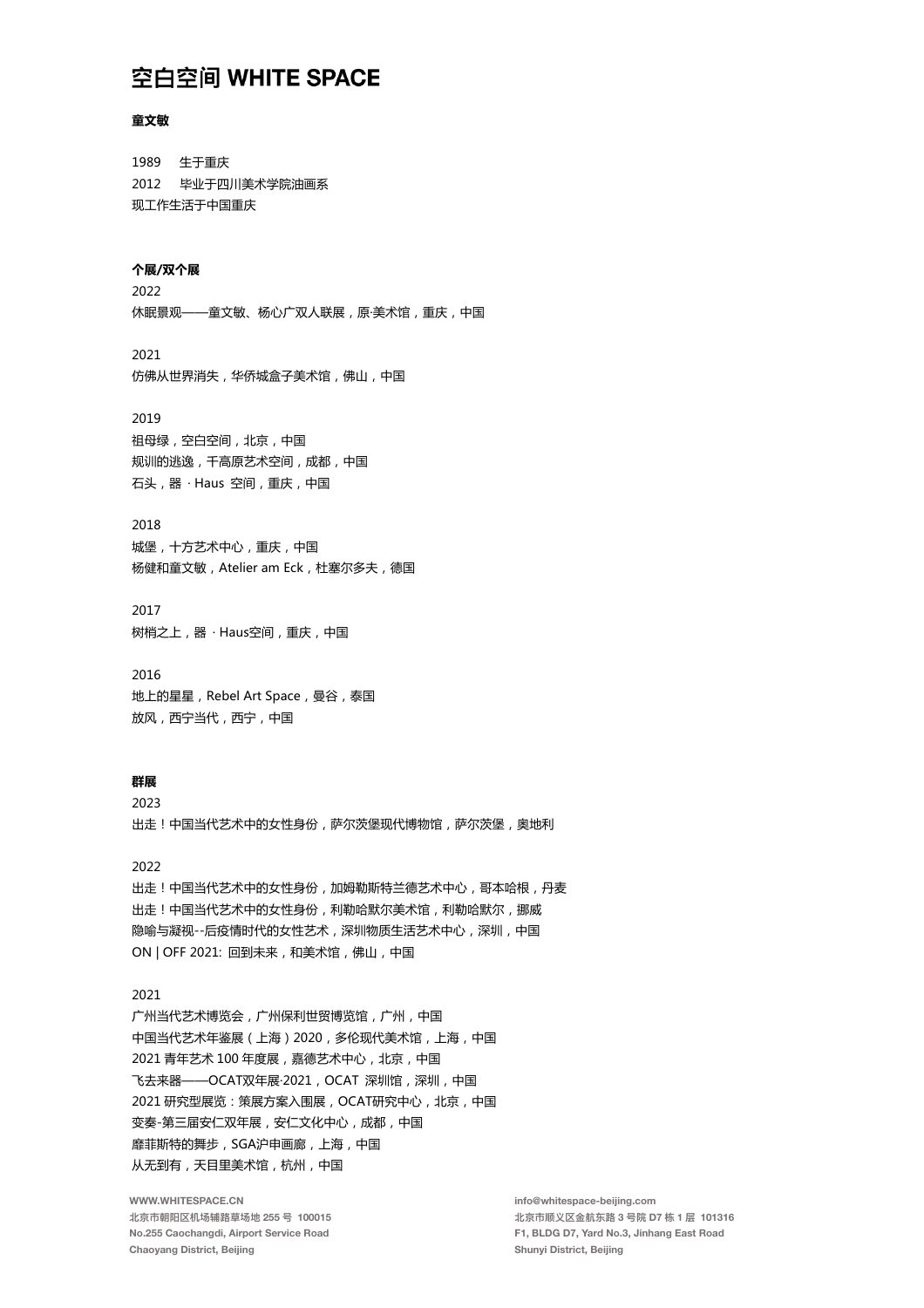# **童文敏**

1989 生于重庆 2012 毕业于四川美术学院油画系 现工作生活于中国重庆

#### **个展/双个展**

2022 休眠景观——童文敏、杨心广双人联展,原·美术馆,重庆,中国

2021 仿佛从世界消失,华侨城盒子美术馆,佛山,中国

## 2019

祖母绿,空白空间,北京,中国 规训的逃逸,千高原艺术空间,成都,中国 石头,器 · Haus 空间,重庆,中国

#### 2018

城堡,十方艺术中心,重庆,中国 杨健和童文敏,Atelier am Eck,杜塞尔多夫,德国

# 2017 树梢之上,器 · Haus空间,重庆,中国

2016 地上的星星,Rebel Art Space,曼谷,泰国 放风,西宁当代,西宁,中国

## **群展**

2023 出走!中国当代艺术中的女性身份,萨尔茨堡现代博物馆,萨尔茨堡,奥地利

#### 2022

出走!中国当代艺术中的女性身份,加姆勒斯特兰德艺术中心,哥本哈根,丹麦 出走!中国当代艺术中的女性身份,利勒哈默尔美术馆,利勒哈默尔,挪威 隐喻与凝视--后疫情时代的女性艺术,深圳物质生活艺术中心,深圳,中国 ON | OFF 2021: 回到未来,和美术馆,佛山,中国

# 2021

广州当代艺术博览会,广州保利世贸博览馆,广州,中国 中国当代艺术年鉴展(上海)2020,多伦现代美术馆,上海,中国 2021 青年艺术 100 年度展,嘉德艺术中心,北京,中国 飞去来器——OCAT双年展·2021,OCAT 深圳馆,深圳,中国 2021 研究型展览:策展方案入围展,OCAT研究中心,北京,中国 变奏-第三届安仁双年展,安仁文化中心,成都,中国 靡菲斯特的舞步,SGA沪申画廊,上海,中国 从无到有,天目里美术馆,杭州,中国

WWW.WHITESPACE.CN 北京市朝阳区机场辅路草场地 255 号 100015 No.255 Caochangdi, Airport Service Road Chaoyang District, Beijing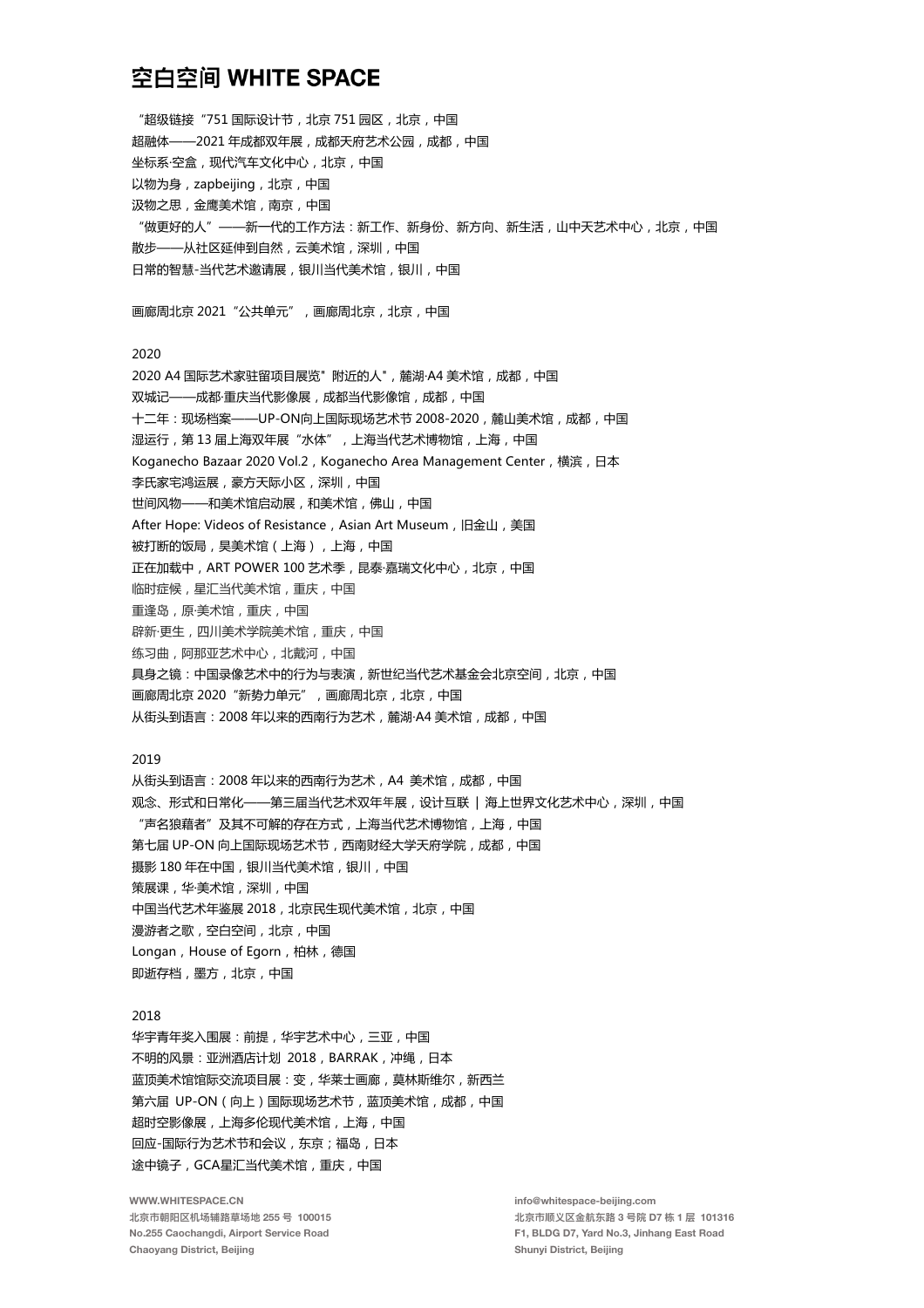"超级链接"751 国际设计节,北京 751 园区,北京,中国 超融体——2021 年成都双年展,成都天府艺术公园,成都,中国 坐标系·空盒,现代汽车文化中心,北京,中国 以物为身,zapbeijing,北京,中国 汲物之思,金鹰美术馆,南京,中国 "做更好的人"——新一代的工作方法:新工作、新身份、新方向、新生活,山中天艺术中心,北京,中国 散步——从社区延伸到自然,云美术馆,深圳,中国 日常的智慧-当代艺术邀请展,银川当代美术馆,银川,中国

画廊周北京 2021"公共单元",画廊周北京,北京,中国

### $2020$

2020 A4 国际艺术家驻留项目展览"附近的人", 麓湖·A4 美术馆, 成都, 中国 双城记——成都·重庆当代影像展,成都当代影像馆,成都,中国 十二年:现场档案——UP-ON向上国际现场艺术节 2008-2020,麓山美术馆,成都,中国 湿运行,第 13 届上海双年展"水体",上海当代艺术博物馆,上海,中国 Koganecho Bazaar 2020 Vol.2, Koganecho Area Management Center,横滨,日本 李氏家宅鸿运展,豪方天际小区,深圳,中国 世间风物——和美术馆启动展,和美术馆,佛山,中国 After Hope: Videos of Resistance, Asian Art Museum, 旧金山, 美国 被打断的饭局,昊美术馆(上海),上海,中国 正在加载中,ART POWER 100 艺术季,昆泰·嘉瑞文化中心,北京,中国 临时症候,星汇当代美术馆,重庆,中国 重逢岛,原·美术馆,重庆,中国 辟新·更生,四川美术学院美术馆,重庆,中国 练习曲,阿那亚艺术中心,北戴河,中国 具身之镜:中国录像艺术中的行为与表演,新世纪当代艺术基金会北京空间,北京,中国 画廊周北京 2020"新势力单元",画廊周北京,北京,中国 从街头到语言: 2008 年以来的西南行为艺术, 麓湖·A4 美术馆, 成都, 中国

## 2019

从街头到语言: 2008 年以来的西南行为艺术, A4 美术馆, 成都, 中国 观念、形式和日常化——第三届当代艺术双年年展,设计互联 | 海上世界文化艺术中心,深圳,中国 "声名狼藉者"及其不可解的存在方式,上海当代艺术博物馆,上海,中国 第七届 UP-ON 向上国际现场艺术节, 西南财经大学天府学院, 成都, 中国 摄影 180 年在中国,银川当代美术馆,银川,中国 策展课,华·美术馆,深圳,中国 中国当代艺术年鉴展 2018,北京民生现代美术馆,北京,中国 漫游者之歌,空白空间,北京,中国 Longan, House of Egorn, 柏林, 德国 即逝存档,墨方,北京,中国

#### 2018

华宇青年奖入围展:前提,华宇艺术中心,三亚,中国 不明的风景: 亚洲酒店计划 2018, BARRAK, 冲绳, 日本 蓝顶美术馆馆际交流项目展:变,华莱士画廊,莫林斯维尔,新西兰 第六届 UP-ON (向上)国际现场艺术节,蓝顶美术馆,成都,中国 超时空影像展,上海多伦现代美术馆,上海,中国 回应-国际行为艺术节和会议,东京;福岛,日本 途中镜子,GCA星汇当代美术馆,重庆,中国

WWW.WHITESPACE.CN 北京市朝阳区机场辅路草场地 255 号 100015 No.255 Caochangdi, Airport Service Road Chaoyang District, Beijing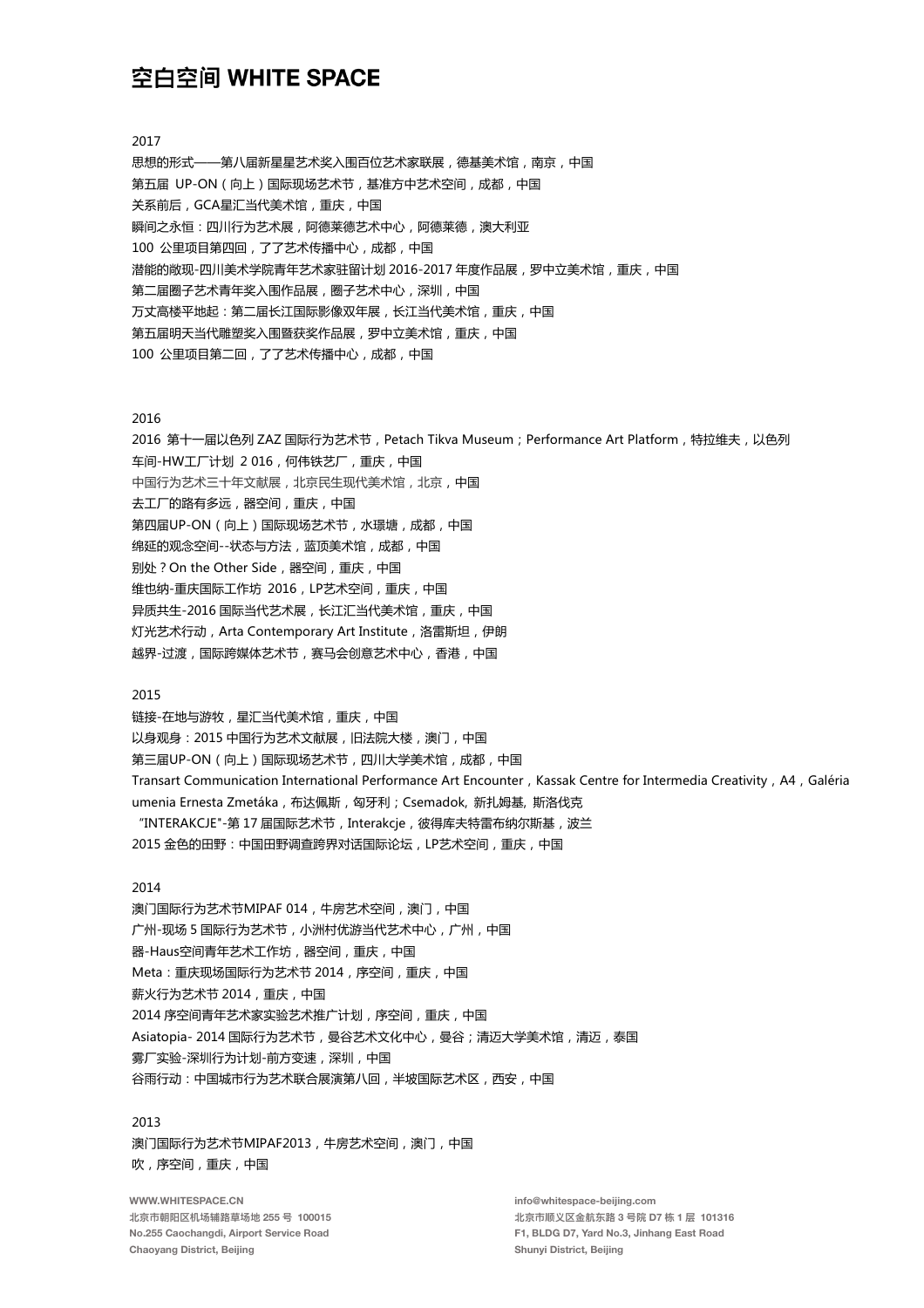2017

思想的形式——第八届新星星艺术奖入围百位艺术家联展,德基美术馆,南京,中国 第五届 UP-ON (向上)国际现场艺术节, 基准方中艺术空间, 成都, 中国 关系前后,GCA星汇当代美术馆,重庆,中国 瞬间之永恒:四川行为艺术展,阿德莱德艺术中心,阿德莱德,澳大利亚 100 公里项目第四回,了了艺术传播中心,成都,中国 潜能的敞现-四川美术学院青年艺术家驻留计划 2016-2017 年度作品展,罗中立美术馆,重庆,中国 第二届圈子艺术青年奖入围作品展,圈子艺术中心,深圳,中国 万丈高楼平地起:第二届长江国际影像双年展,长江当代美术馆,重庆,中国 第五届明天当代雕塑奖入围暨获奖作品展,罗中立美术馆,重庆,中国 100 公里项目第二回,了了艺术传播中心,成都,中国

#### 2016

2016 第十一届以色列 ZAZ 国际行为艺术节, Petach Tikva Museum; Performance Art Platform, 特拉维夫, 以色列 车间-HW工厂计划 2 016,何伟铁艺厂,重庆,中国 中国行为艺术三十年文献展,北京民生现代美术馆,北京,中国 去工厂的路有多远,器空间,重庆,中国 第四届UP-ON(向上)国际现场艺术节,水璟塘,成都,中国 绵延的观念空间--状态与方法,蓝顶美术馆,成都,中国 别处?On the Other Side,器空间,重庆,中国 维也纳-重庆国际工作坊 2016,LP艺术空间,重庆,中国 异质共生-2016 国际当代艺术展,长江汇当代美术馆,重庆,中国 灯光艺术行动,Arta Contemporary Art Institute,洛雷斯坦,伊朗 越界-过渡,国际跨媒体艺术节,赛马会创意艺术中心,香港,中国

#### 2015

链接-在地与游牧,星汇当代美术馆,重庆,中国 以身观身:2015 中国行为艺术文献展,旧法院大楼,澳门,中国 第三届UP-ON(向上)国际现场艺术节,四川大学美术馆,成都,中国 Transart Communication International Performance Art Encounter, Kassak Centre for Intermedia Creativity, A4, Galéria umenia Ernesta Zmetáka, 布达佩斯, 匈牙利; Csemadok, 新扎姆基, 斯洛伐克 "INTERAKCJE"-第17 届国际艺术节, Interakcje, 彼得库夫特雷布纳尔斯基, 波兰 2015 金色的田野:中国田野调查跨界对话国际论坛,LP艺术空间,重庆,中国

### 2014

澳门国际行为艺术节MIPAF 014,牛房艺术空间,澳门,中国 广州-现场 5 国际行为艺术节,小洲村优游当代艺术中心,广州,中国 器-Haus空间青年艺术工作坊,器空间,重庆,中国 Meta:重庆现场国际行为艺术节 2014,序空间,重庆,中国 薪火行为艺术节 2014,重庆,中国 2014 序空间青年艺术家实验艺术推广计划,序空间,重庆,中国 Asiatopia- 2014 国际行为艺术节,曼谷艺术文化中心,曼谷;清迈大学美术馆,清迈,泰国 雾厂实验-深圳行为计划-前方变速,深圳,中国 谷雨行动:中国城市行为艺术联合展演第八回,半坡国际艺术区,西安,中国

#### 2013

澳门国际行为艺术节MIPAF2013,牛房艺术空间,澳门,中国 吹,序空间,重庆,中国

WWW.WHITESPACE.CN 北京市朝阳区机场辅路草场地 255 号 100015 No.255 Caochangdi, Airport Service Road Chaoyang District, Beijing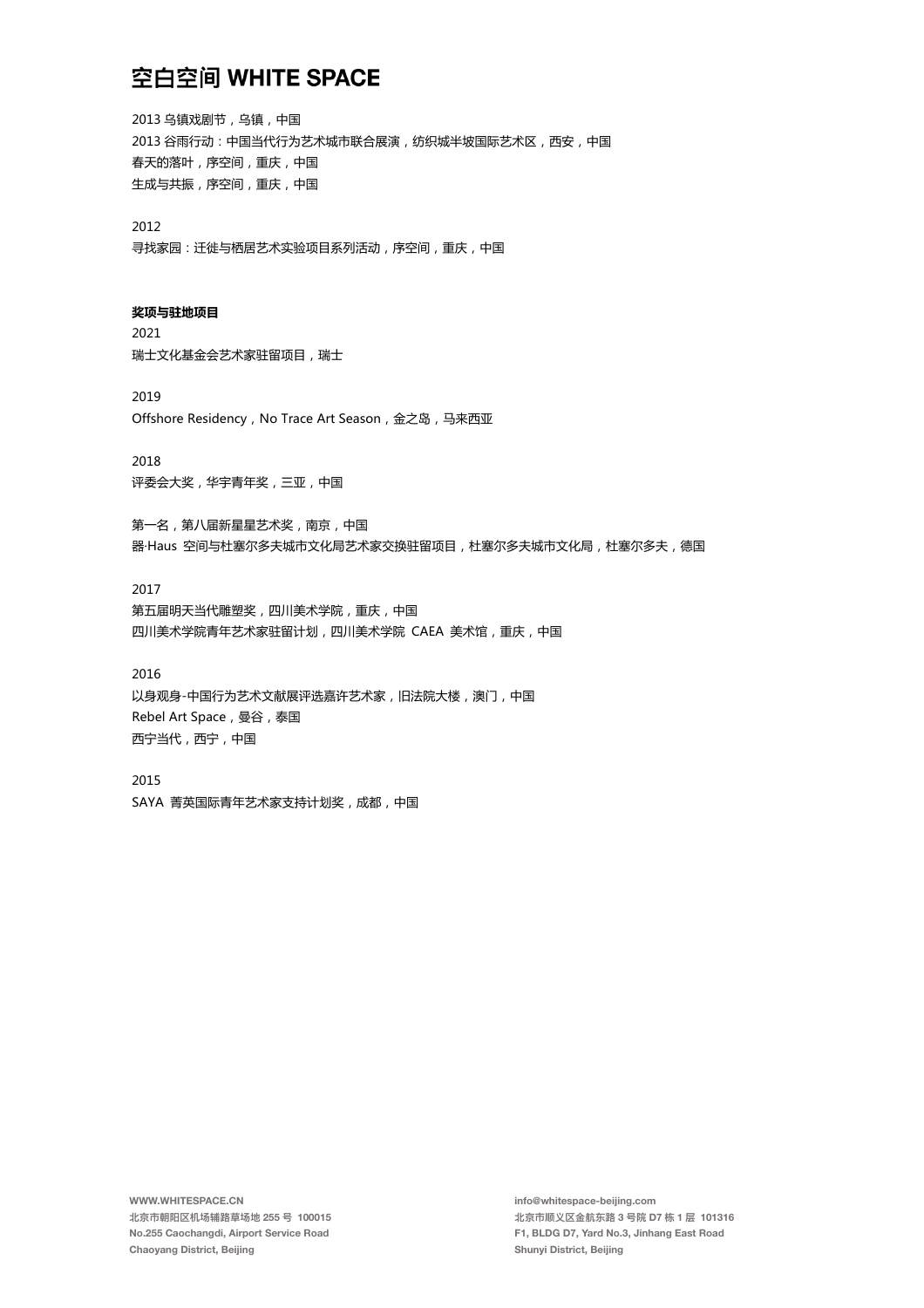2013 乌镇戏剧节,乌镇,中国 2013 谷雨行动:中国当代行为艺术城市联合展演,纺织城半坡国际艺术区,西安,中国 春天的落叶,序空间,重庆,中国 生成与共振,序空间,重庆,中国

2012 寻找家园:迁徙与栖居艺术实验项目系列活动,序空间,重庆,中国

#### **奖项与驻地项目**

2021 瑞士文化基金会艺术家驻留项目,瑞士

2019 Offshore Residency, No Trace Art Season, 金之岛, 马来西亚

2018 评委会大奖,华宇青年奖,三亚,中国

第一名,第八届新星星艺术奖,南京,中国 器·Haus 空间与杜塞尔多夫城市文化局艺术家交换驻留项目,杜塞尔多夫城市文化局,杜塞尔多夫,德国

# 2017

第五届明天当代雕塑奖,四川美术学院,重庆,中国 四川美术学院青年艺术家驻留计划, 四川美术学院 CAEA 美术馆, 重庆, 中国

# 2016

以身观身-中国行为艺术文献展评选嘉许艺术家,旧法院大楼,澳门,中国 Rebel Art Space,曼谷,泰国 西宁当代,西宁,中国

2015 SAYA 菁英国际青年艺术家支持计划奖,成都,中国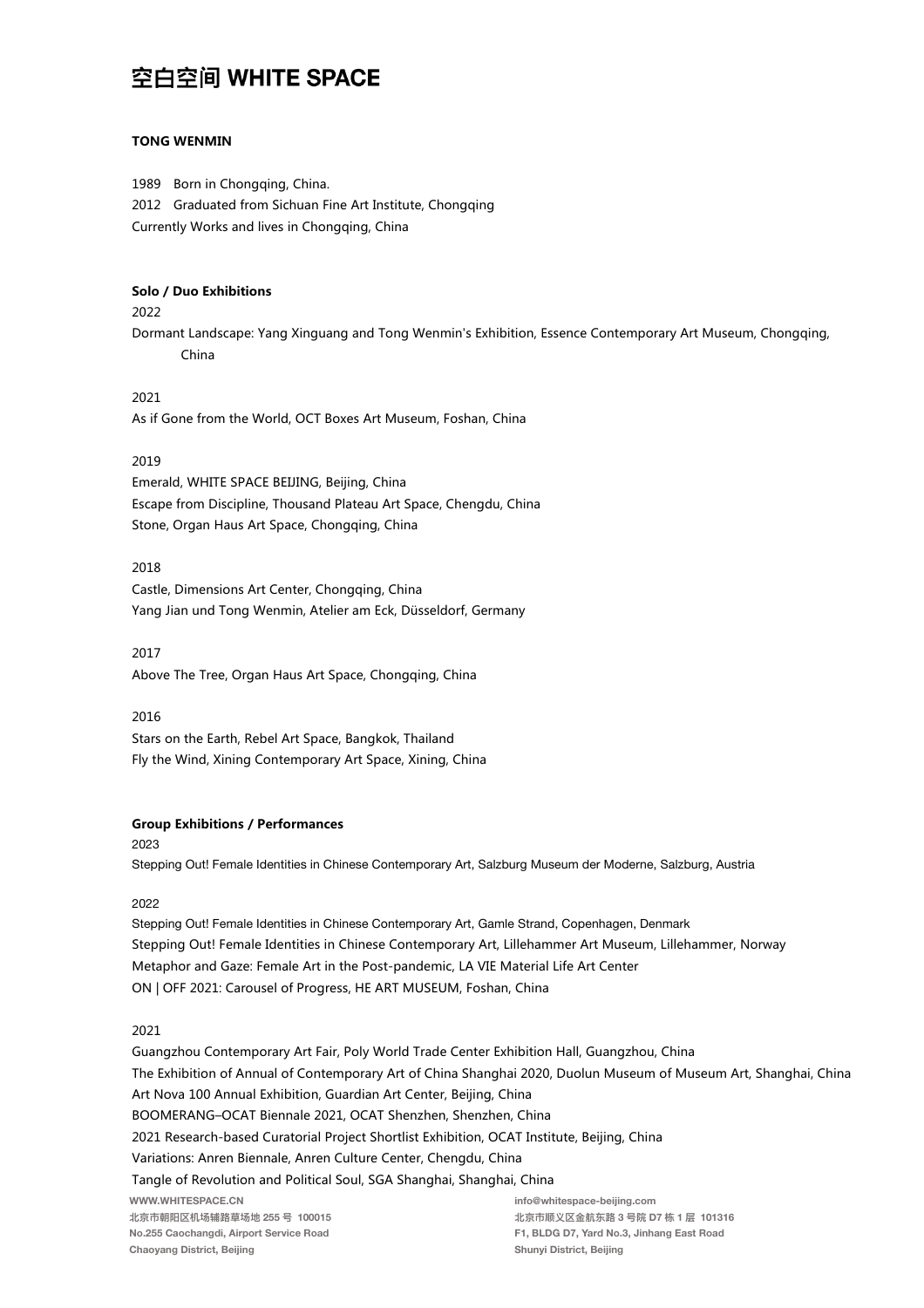## **TONG WENMIN**

1989 Born in Chongging, China. 2012 Graduated from Sichuan Fine Art Institute, Chongqing Currently Works and lives in Chongqing, China

#### **Solo / Duo Exhibitions**

2022

Dormant Landscape: Yang Xinguang and Tong Wenmin's Exhibition, Essence Contemporary Art Museum, Chongqing, China

#### 2021

As if Gone from the World, OCT Boxes Art Museum, Foshan, China

#### 2019

Emerald, WHITE SPACE BEIJING, Beijing, China Escape from Discipline, Thousand Plateau Art Space, Chengdu, China Stone, Organ Haus Art Space, Chongqing, China

2018

Castle, Dimensions Art Center, Chongqing, China Yang Jian und Tong Wenmin, Atelier am Eck, Düsseldorf, Germany

2017 Above The Tree, Organ Haus Art Space, Chongqing, China

#### 2016

Stars on the Earth, Rebel Art Space, Bangkok, Thailand Fly the Wind, Xining Contemporary Art Space, Xining, China

## **Group Exhibitions / Performances**

2023 Stepping Out! Female Identities in Chinese Contemporary Art, Salzburg Museum der Moderne, Salzburg, Austria

#### 2022

Stepping Out! Female Identities in Chinese Contemporary Art, Gamle Strand, Copenhagen, Denmark Stepping Out! Female Identities in Chinese Contemporary Art, Lillehammer Art Museum, Lillehammer, Norway Metaphor and Gaze: Female Art in the Post-pandemic, LA VIE Material Life Art Center ON | OFF 2021: Carousel of Progress, HE ART MUSEUM, Foshan, China

# 2021

WWW.WHITESPACE.CN 北京市朝阳区机场辅路草场地 255 号 100015 No.255 Caochangdi, Airport Service Road Chaoyang District, Beijing info@whitespace-beijing.com 北京市顺义区⾦航东路 3 号院 D7 栋 1 层 101316 F1, BLDG D7, Yard No.3, Jinhang East Road Shunyi District, Beijing Guangzhou Contemporary Art Fair, Poly World Trade Center Exhibition Hall, Guangzhou, China The Exhibition of Annual of Contemporary Art of China Shanghai 2020, Duolun Museum of Museum Art, Shanghai, China Art Nova 100 Annual Exhibition, Guardian Art Center, Beijing, China BOOMERANG–OCAT Biennale 2021, OCAT Shenzhen, Shenzhen, China 2021 Research-based Curatorial Project Shortlist Exhibition, OCAT Institute, Beijing, China Variations: Anren Biennale, Anren Culture Center, Chengdu, China Tangle of Revolution and Political Soul, SGA Shanghai, Shanghai, China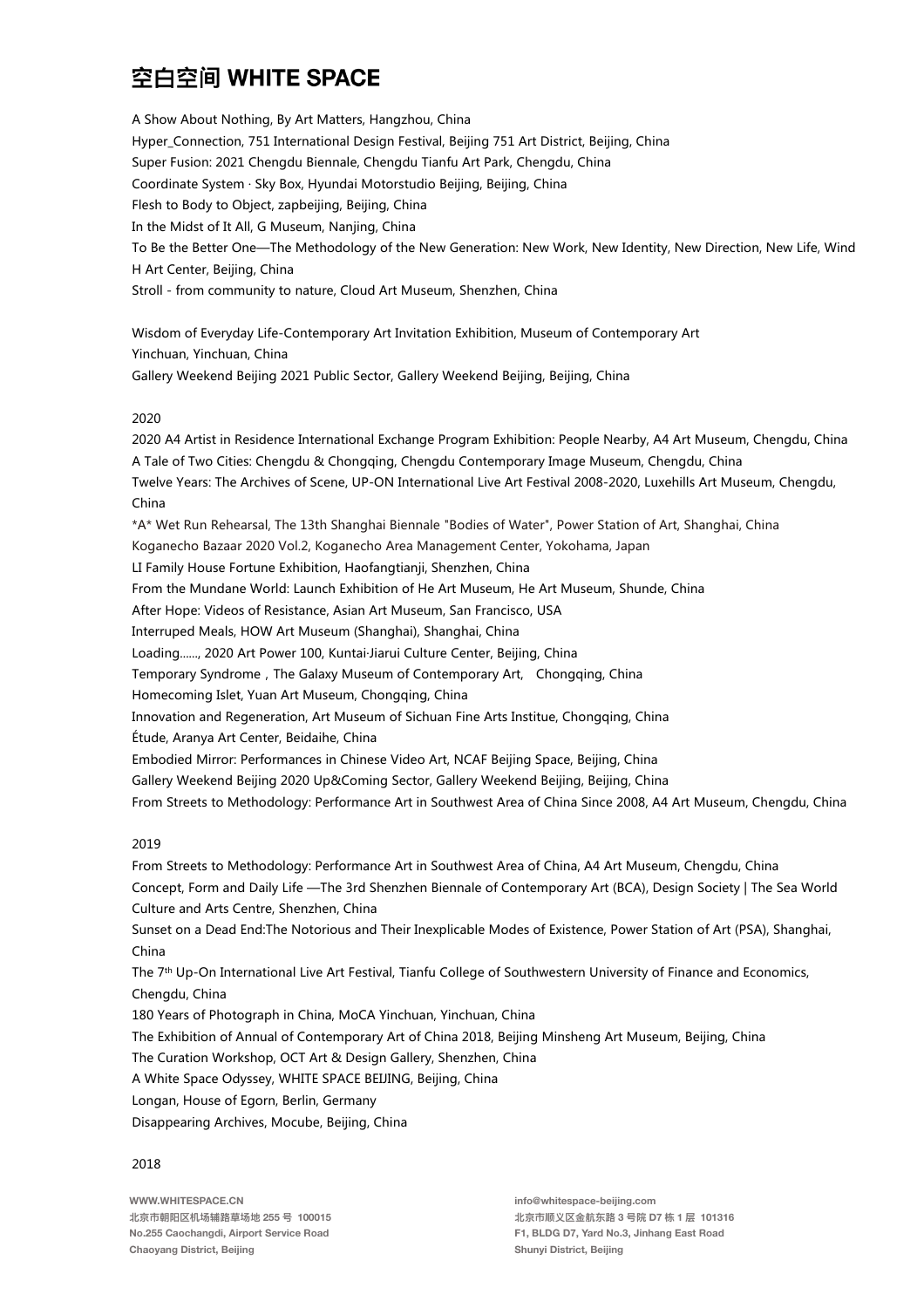A Show About Nothing, By Art Matters, Hangzhou, China Hyper\_Connection, 751 International Design Festival, Beijing 751 Art District, Beijing, China Super Fusion: 2021 Chengdu Biennale, Chengdu Tianfu Art Park, Chengdu, China Coordinate System · Sky Box, Hyundai Motorstudio Beijing, Beijing, China Flesh to Body to Object, zapbeijing, Beijing, China In the Midst of It All, G Museum, Nanjing, China To Be the Better One—The Methodology of the New Generation: New Work, New Identity, New Direction, New Life, Wind H Art Center, Beijing, China Stroll - from community to nature, Cloud Art Museum, Shenzhen, China

Wisdom of Everyday Life-Contemporary Art Invitation Exhibition, Museum of Contemporary Art Yinchuan, Yinchuan, China Gallery Weekend Beijing 2021 Public Sector, Gallery Weekend Beijing, Beijing, China

# 2020

2020 A4 Artist in Residence International Exchange Program Exhibition: People Nearby, A4 Art Museum, Chengdu, China A Tale of Two Cities: Chengdu & Chongqing, Chengdu Contemporary Image Museum, Chengdu, China Twelve Years: The Archives of Scene, UP-ON International Live Art Festival 2008-2020, Luxehills Art Museum, Chengdu, China \*A\* Wet Run Rehearsal, The 13th Shanghai Biennale "Bodies of Water", Power Station of Art, Shanghai, China Koganecho Bazaar 2020 Vol.2, Koganecho Area Management Center, Yokohama, Japan LI Family House Fortune Exhibition, Haofangtianji, Shenzhen, China From the Mundane World: Launch Exhibition of He Art Museum, He Art Museum, Shunde, China After Hope: Videos of Resistance, Asian Art Museum, San Francisco, USA Interruped Meals, HOW Art Museum (Shanghai), Shanghai, China Loading......, 2020 Art Power 100, Kuntai·Jiarui Culture Center, Beijing, China Temporary Syndrome, The Galaxy Museum of Contemporary Art, Chongging, China Homecoming Islet, Yuan Art Museum, Chongqing, China Innovation and Regeneration, Art Museum of Sichuan Fine Arts Institue, Chongqing, China Étude, Aranya Art Center, Beidaihe, China Embodied Mirror: Performances in Chinese Video Art, NCAF Beijing Space, Beijing, China Gallery Weekend Beijing 2020 Up&Coming Sector, Gallery Weekend Beijing, Beijing, China From Streets to Methodology: Performance Art in Southwest Area of China Since 2008, A4 Art Museum, Chengdu, China

# 2019

From Streets to Methodology: Performance Art in Southwest Area of China, A4 Art Museum, Chengdu, China Concept, Form and Daily Life —The 3rd Shenzhen Biennale of Contemporary Art (BCA), Design Society | The Sea World Culture and Arts Centre, Shenzhen, China

Sunset on a Dead End:The Notorious and Their Inexplicable Modes of Existence, Power Station of Art (PSA), Shanghai, China

The 7th Up-On International Live Art Festival, Tianfu College of Southwestern University of Finance and Economics, Chengdu, China

180 Years of Photograph in China, MoCA Yinchuan, Yinchuan, China

The Exhibition of Annual of Contemporary Art of China 2018, Beijing Minsheng Art Museum, Beijing, China

The Curation Workshop, OCT Art & Design Gallery, Shenzhen, China

A White Space Odyssey, WHITE SPACE BEIJING, Beijing, China

Longan, House of Egorn, Berlin, Germany

Disappearing Archives, Mocube, Beijing, China

#### 2018

WWW.WHITESPACE.CN 北京市朝阳区机场辅路草场地 255 号 100015 No.255 Caochangdi, Airport Service Road Chaoyang District, Beijing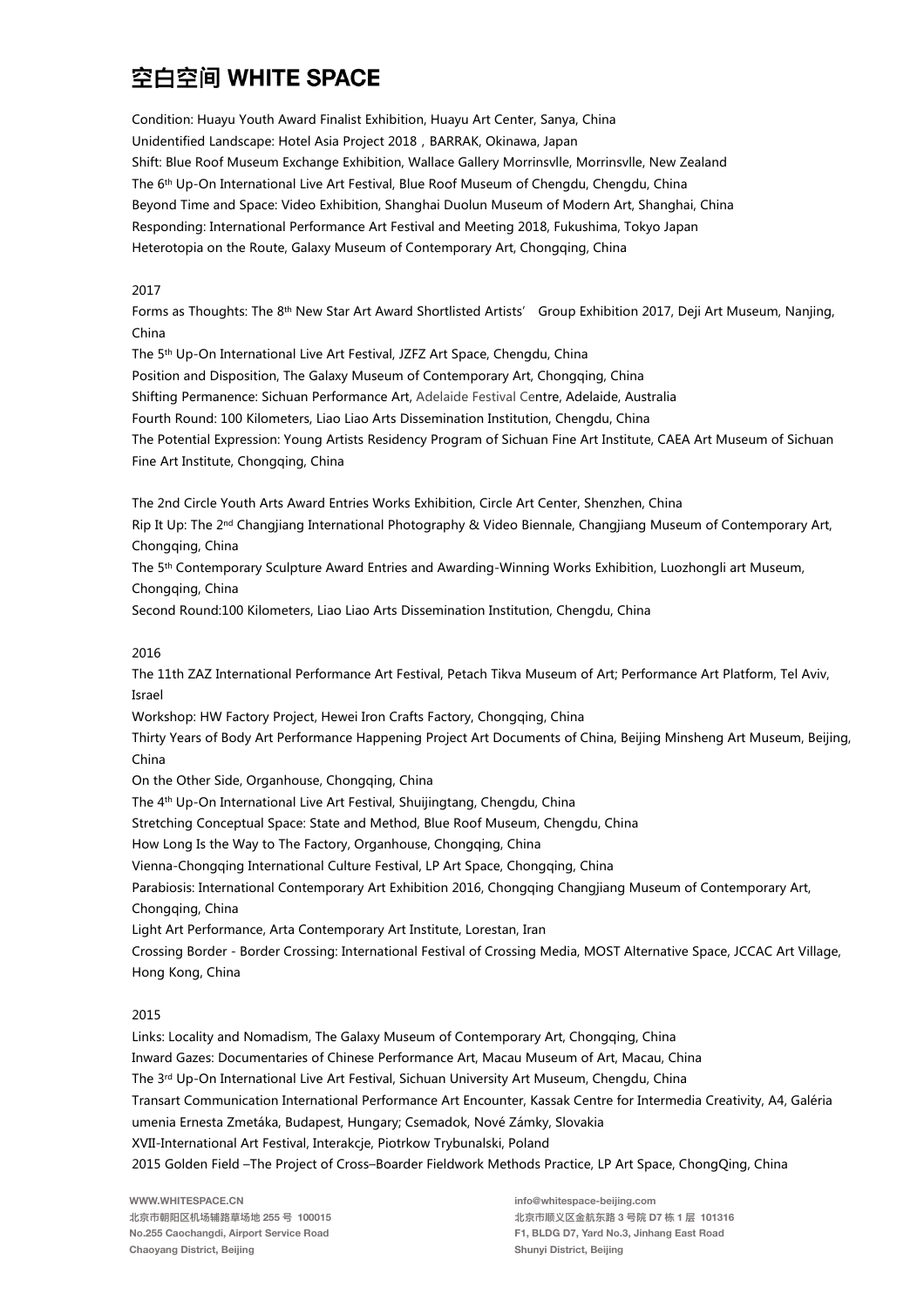Condition: Huayu Youth Award Finalist Exhibition, Huayu Art Center, Sanya, China Unidentified Landscape: Hotel Asia Project 2018, BARRAK, Okinawa, Japan Shift: Blue Roof Museum Exchange Exhibition, Wallace Gallery Morrinsvlle, Morrinsvlle, New Zealand The 6th Up-On International Live Art Festival, Blue Roof Museum of Chengdu, Chengdu, China Beyond Time and Space: Video Exhibition, Shanghai Duolun Museum of Modern Art, Shanghai, China Responding: International Performance Art Festival and Meeting 2018, Fukushima, Tokyo Japan Heterotopia on the Route, Galaxy Museum of Contemporary Art, Chongqing, China

# 2017

Forms as Thoughts: The 8<sup>th</sup> New Star Art Award Shortlisted Artists' Group Exhibition 2017, Deji Art Museum, Nanjing, China

The 5th Up-On International Live Art Festival, JZFZ Art Space, Chengdu, China Position and Disposition, The Galaxy Museum of Contemporary Art, Chongqing, China Shifting Permanence: Sichuan Performance Art, Adelaide Festival Centre, Adelaide, Australia Fourth Round: 100 Kilometers, Liao Liao Arts Dissemination Institution, Chengdu, China The Potential Expression: Young Artists Residency Program of Sichuan Fine Art Institute, CAEA Art Museum of Sichuan Fine Art Institute, Chongqing, China

The 2nd Circle Youth Arts Award Entries Works Exhibition, Circle Art Center, Shenzhen, China Rip It Up: The 2<sup>nd</sup> Changjiang International Photography & Video Biennale, Changjiang Museum of Contemporary Art, Chongqing, China

The 5th Contemporary Sculpture Award Entries and Awarding-Winning Works Exhibition, Luozhongli art Museum, Chongqing, China

Second Round:100 Kilometers, Liao Liao Arts Dissemination Institution, Chengdu, China

2016

The 11th ZAZ International Performance Art Festival, Petach Tikva Museum of Art; Performance Art Platform, Tel Aviv, Israel

Workshop: HW Factory Project, Hewei Iron Crafts Factory, Chongqing, China

Thirty Years of Body Art Performance Happening Project Art Documents of China, Beijing Minsheng Art Museum, Beijing, China

On the Other Side, Organhouse, Chongqing, China

The 4th Up-On International Live Art Festival, Shuijingtang, Chengdu, China

Stretching Conceptual Space: State and Method, Blue Roof Museum, Chengdu, China

How Long Is the Way to The Factory, Organhouse, Chongqing, China

Vienna-Chongqing International Culture Festival, LP Art Space, Chongqing, China

Parabiosis: International Contemporary Art Exhibition 2016, Chongqing Changjiang Museum of Contemporary Art, Chongqing, China

Light Art Performance, Arta Contemporary Art Institute, Lorestan, Iran

Crossing Border - Border Crossing: International Festival of Crossing Media, MOST Alternative Space, JCCAC Art Village, Hong Kong, China

# 2015

Links: Locality and Nomadism, The Galaxy Museum of Contemporary Art, Chongqing, China Inward Gazes: Documentaries of Chinese Performance Art, Macau Museum of Art, Macau, China The 3rd Up-On International Live Art Festival, Sichuan University Art Museum, Chengdu, China Transart Communication International Performance Art Encounter, Kassak Centre for Intermedia Creativity, A4, Galéria umenia Ernesta Zmetáka, Budapest, Hungary; Csemadok, Nové Zámky, Slovakia XVII-International Art Festival, Interakcje, Piotrkow Trybunalski, Poland 2015 Golden Field –The Project of Cross–Boarder Fieldwork Methods Practice, LP Art Space, ChongQing, China

WWW.WHITESPACE.CN 北京市朝阳区机场辅路草场地 255 号 100015 No.255 Caochangdi, Airport Service Road Chaoyang District, Beijing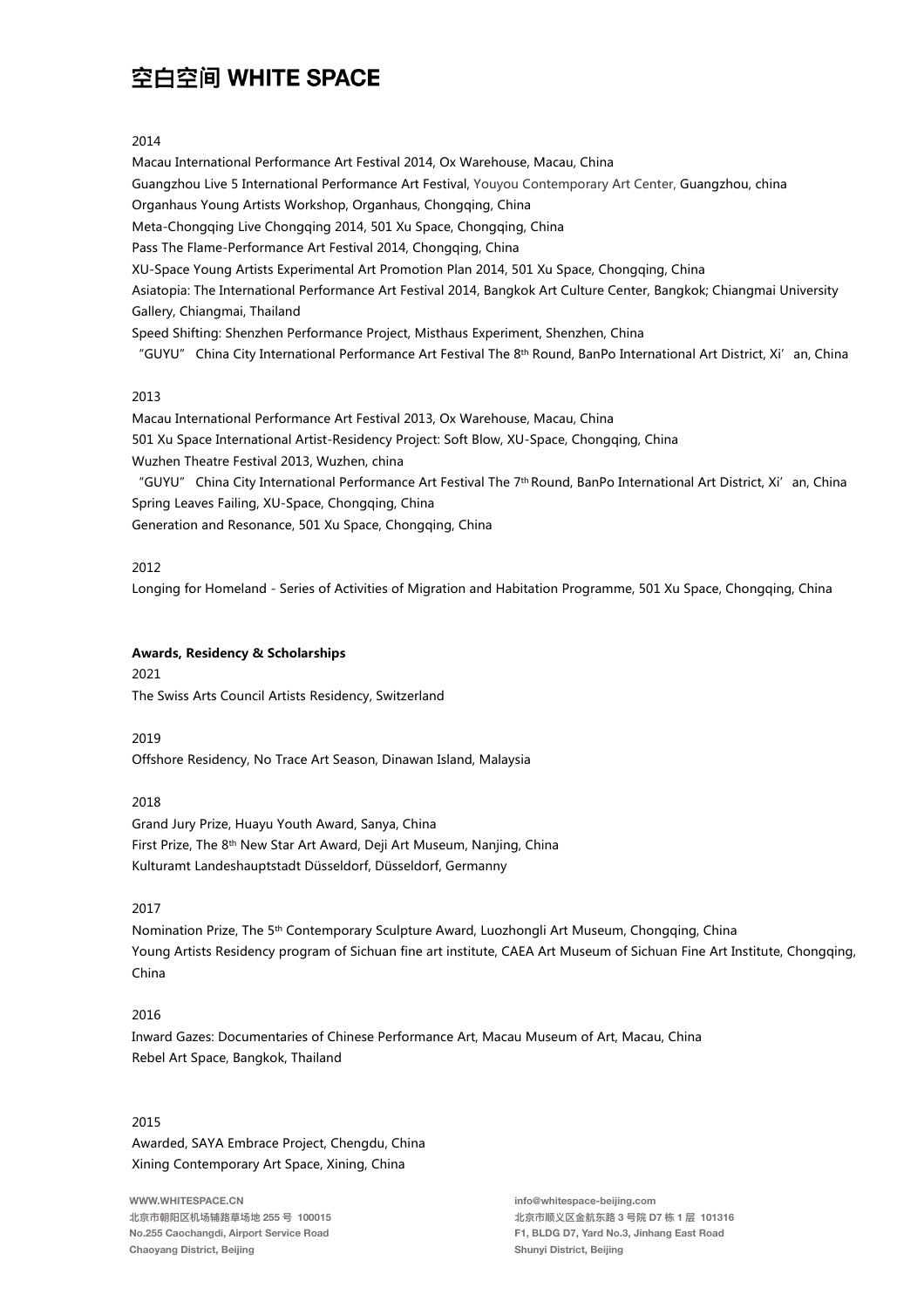#### 2014

Macau International Performance Art Festival 2014, Ox Warehouse, Macau, China Guangzhou Live 5 International Performance Art Festival, Youyou Contemporary Art Center, Guangzhou, china Organhaus Young Artists Workshop, Organhaus, Chongqing, China Meta-Chongqing Live Chongqing 2014, 501 Xu Space, Chongqing, China Pass The Flame-Performance Art Festival 2014, Chongqing, China XU-Space Young Artists Experimental Art Promotion Plan 2014, 501 Xu Space, Chongqing, China Asiatopia: The International Performance Art Festival 2014, Bangkok Art Culture Center, Bangkok; Chiangmai University Gallery, Chiangmai, Thailand Speed Shifting: Shenzhen Performance Project, Misthaus Experiment, Shenzhen, China "GUYU" China City International Performance Art Festival The 8<sup>th</sup> Round, BanPo International Art District, Xi'an, China

#### 2013

Macau International Performance Art Festival 2013, Ox Warehouse, Macau, China 501 Xu Space International Artist-Residency Project: Soft Blow, XU-Space, Chongqing, China Wuzhen Theatre Festival 2013, Wuzhen, china "GUYU" China City International Performance Art Festival The 7<sup>th</sup> Round, BanPo International Art District, Xi'an, China Spring Leaves Failing, XU-Space, Chongqing, China

Generation and Resonance, 501 Xu Space, Chongqing, China

## 2012

Longing for Homeland - Series of Activities of Migration and Habitation Programme, 501 Xu Space, Chongqing, China

#### **Awards, Residency & Scholarships**

2021 The Swiss Arts Council Artists Residency, Switzerland

2019

Offshore Residency, No Trace Art Season, Dinawan Island, Malaysia

#### 2018

Grand Jury Prize, Huayu Youth Award, Sanya, China First Prize, The 8th New Star Art Award, Deji Art Museum, Nanjing, China Kulturamt Landeshauptstadt Düsseldorf, Düsseldorf, Germanny

2017

Nomination Prize, The 5th Contemporary Sculpture Award, Luozhongli Art Museum, Chongqing, China Young Artists Residency program of Sichuan fine art institute, CAEA Art Museum of Sichuan Fine Art Institute, Chongqing, China

# 2016

Inward Gazes: Documentaries of Chinese Performance Art, Macau Museum of Art, Macau, China Rebel Art Space, Bangkok, Thailand

# 2015

Awarded, SAYA Embrace Project, Chengdu, China Xining Contemporary Art Space, Xining, China

WWW.WHITESPACE.CN 北京市朝阳区机场辅路草场地 255 号 100015 No.255 Caochangdi, Airport Service Road Chaoyang District, Beijing